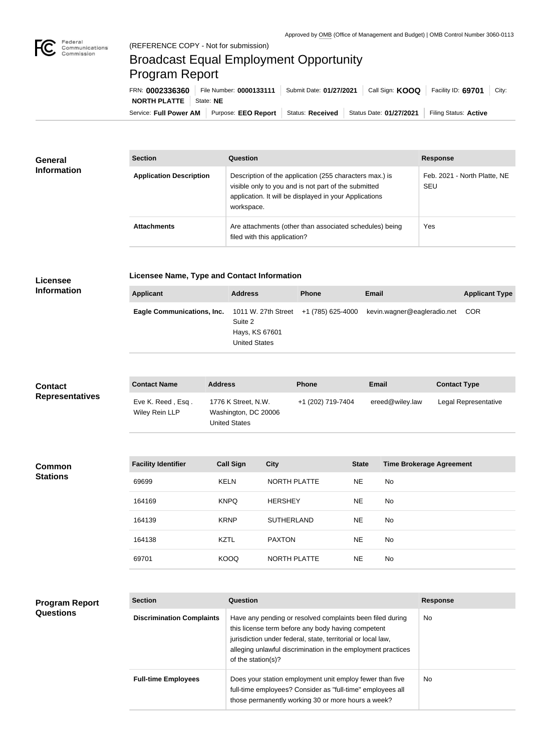

## Broadcast Equal Employment Opportunity Program Report

Service: Full Power AM | Purpose: EEO Report | Status: Received | Status Date: 01/27/2021 | Filing Status: Active **NORTH PLATTE** | State: **NE** FRN: **0002336360** File Number: **0000133111** Submit Date: **01/27/2021** Call Sign: **KOOQ** Facility ID: **69701** City:

| General<br><b>Information</b> | <b>Section</b>                 | Question                                                                                                                                                                                | <b>Response</b>                            |  |
|-------------------------------|--------------------------------|-----------------------------------------------------------------------------------------------------------------------------------------------------------------------------------------|--------------------------------------------|--|
|                               | <b>Application Description</b> | Description of the application (255 characters max.) is<br>visible only to you and is not part of the submitted<br>application. It will be displayed in your Applications<br>workspace. | Feb. 2021 - North Platte, NE<br><b>SEU</b> |  |
|                               | <b>Attachments</b>             | Are attachments (other than associated schedules) being<br>filed with this application?                                                                                                 | Yes                                        |  |

## **Licensee Information**

**Program Report** 

**Questions**

**Licensee Name, Type and Contact Information**

| Applicant                                                        | <b>Address</b>                                    | <b>Phone</b> | <b>Email</b>                    | <b>Applicant Type</b> |
|------------------------------------------------------------------|---------------------------------------------------|--------------|---------------------------------|-----------------------|
| Eagle Communications, Inc. 1011 W. 27th Street +1 (785) 625-4000 | Suite 2<br>Hays, KS 67601<br><b>United States</b> |              | kevin.wagner@eagleradio.net COR |                       |

| <b>Contact</b><br><b>Representatives</b> | <b>Contact Name</b>                 | <b>Address</b>                                                      |                     | <b>Phone</b>      |              | <b>Email</b>                    | <b>Contact Type</b>  |
|------------------------------------------|-------------------------------------|---------------------------------------------------------------------|---------------------|-------------------|--------------|---------------------------------|----------------------|
|                                          | Eve K. Reed, Esq.<br>Wiley Rein LLP | 1776 K Street, N.W.<br>Washington, DC 20006<br><b>United States</b> |                     | +1 (202) 719-7404 |              | ereed@wiley.law                 | Legal Representative |
|                                          |                                     |                                                                     |                     |                   |              |                                 |                      |
| <b>Common</b><br><b>Stations</b>         | <b>Facility Identifier</b>          | <b>Call Sign</b>                                                    | <b>City</b>         |                   | <b>State</b> | <b>Time Brokerage Agreement</b> |                      |
|                                          | 69699                               | <b>KELN</b>                                                         | <b>NORTH PLATTE</b> |                   | <b>NE</b>    | No                              |                      |
|                                          | 164169                              | <b>KNPQ</b>                                                         | <b>HERSHEY</b>      |                   | <b>NE</b>    | No                              |                      |
|                                          | 164139                              | <b>KRNP</b>                                                         | <b>SUTHERLAND</b>   |                   | <b>NE</b>    | No                              |                      |
|                                          | 164138                              | <b>KZTL</b>                                                         | <b>PAXTON</b>       |                   | <b>NE</b>    | No                              |                      |
|                                          | 69701                               | <b>KOOQ</b>                                                         | NORTH PLATTE        |                   | <b>NE</b>    | No                              |                      |
|                                          |                                     |                                                                     |                     |                   |              |                                 |                      |

| <b>Section</b><br>Question       |                                                                                                                                                                                                                                                                       | <b>Response</b> |  |
|----------------------------------|-----------------------------------------------------------------------------------------------------------------------------------------------------------------------------------------------------------------------------------------------------------------------|-----------------|--|
| <b>Discrimination Complaints</b> | Have any pending or resolved complaints been filed during<br>this license term before any body having competent<br>jurisdiction under federal, state, territorial or local law,<br>alleging unlawful discrimination in the employment practices<br>of the station(s)? | No.             |  |
| <b>Full-time Employees</b>       | Does your station employment unit employ fewer than five<br>full-time employees? Consider as "full-time" employees all<br>those permanently working 30 or more hours a week?                                                                                          | No.             |  |